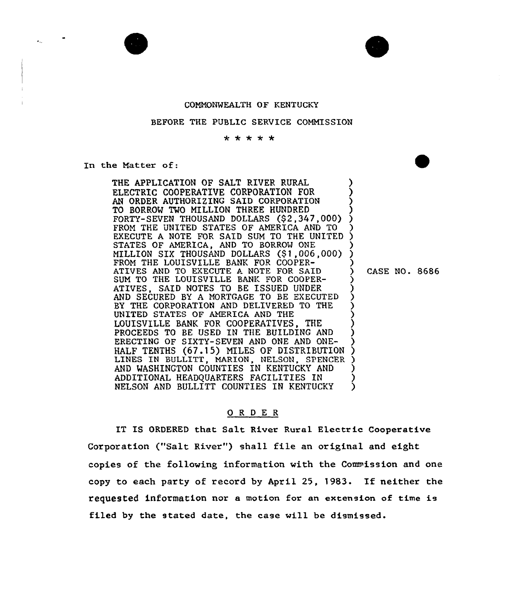

## BEFORE THE PUBLIC SERVICE COMMISSION

\* \* \* \* \*

In the Matter of:

 $\mathbf{r}_{\text{max}}$ 

THE APPLICATION OF SALT RIVER RURAL ELECTRIC COOPERATIVE CORPORATION FOR AN ORDER AUTHORIZING SAID CORPORATION TO BORROW TWO MILLION THREE HUNDRED FORTY-SEVEN THOUSAND DOLLARS (\$2,347,000) FROM THE UNITED STATES OF AMERICA AND TO EXECUTE A NOTE FOR SAID SUM TO THE UNITED STATES OF AMERICA, AND TO BORROW ONE MILLION SIX THOUSAND DOLLARS (\$ 1,006,000) FROM THE LOUISVILLE BANK FOR COOPER-ATIVES AND TO EXECUTE A NOTE FOR SAID SUM TO THE LOUISVILLE BANK FOR COOPER-<br>ATIVES. SAID NOTES TO BE ISSUED UNDER SAID NOTES TO BE ISSUED UNDER AND SECURED BY A MORTGAGE TO BE EXECUTED BY THE CORPORATION AND DELIVERED TO THE UNITED STATES OF AMERICA AND THE LOUISVILLE BANK FOR COOPERATIVES, THE PROCEEDS TO BE USED IN THE BUILDING AND ERECTING OF SIXTY-SEVEN AND ONE AND ONE-HALF TENTHS (67.15) MILES OF DISTRIBUTION LINES IN BULLITT, MARION, NELSON, SPENCER AND WASHINGTON COUNTIES IN KENTUCKY AND ADDITIONAL HEADQUARTERS FACILITIES IN NELSON AND BULLITT COUNTIES IN KENTUCKY ) )<br>) ) ) (<br>ڊ ) ) ) ) ) ) ) ز<br>\ ) ) (<br>) <u>ز</u> ) ) ) )

CASE NO. 8686

## 0 <sup>R</sup> <sup>D</sup> E <sup>R</sup>

IT IS ORDERED that Salt River Rural Electric Cooperativ Corporation ("Salt River") shall file an original and eight copies of the following information with the Commission and one copy to each party of record by April 25, 1983. If neither the requested information nor a motion for an extension of time is filed by the stated date, the case will be dismissed.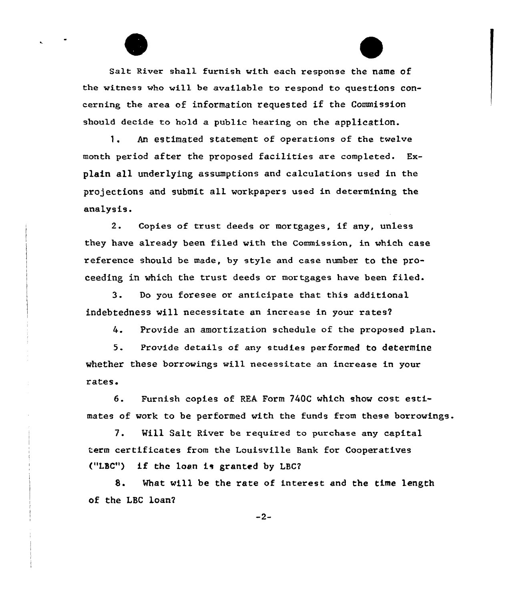Salt River shall furnish with each response the name of the witness wha will be available to respond to questions concerning the area of information requested if the Commission should decide to hold a public hearing on the application.

1. An estimated statement of operations of the twelve month period after the proposed facilities are completed. Explain all underlying assumptions and calculations used in the projections and submit all workpapers used in determining the analysis.

2. Copies af trust deeds or mortgages, if any, unless they have already been filed with the Commission, in which case reference should be made, by style and case number to the proceeding in which the trust deeds or mortgages have been filed.

3. Do you foresee or anticipate that this additional indebtedness will necessitate an increase in your rates2

4. provide an amortization schedule af the prapased plan.

5. Provide details af any studies performed to determine whether these borrowings will necessitate an increase in your rates.

6. Furnish copies of REA Form 740C which show cost estimates of work to be performed with the funds from these borrowings.

7. Will Salt River be required to purchase any capital term certificates from the Louisville Bank for Cooperatives ("LSC") if the loan is granted by LBC2

8. Mhat will be the rate of interest and the time length of the LBC loan2

 $-2-$